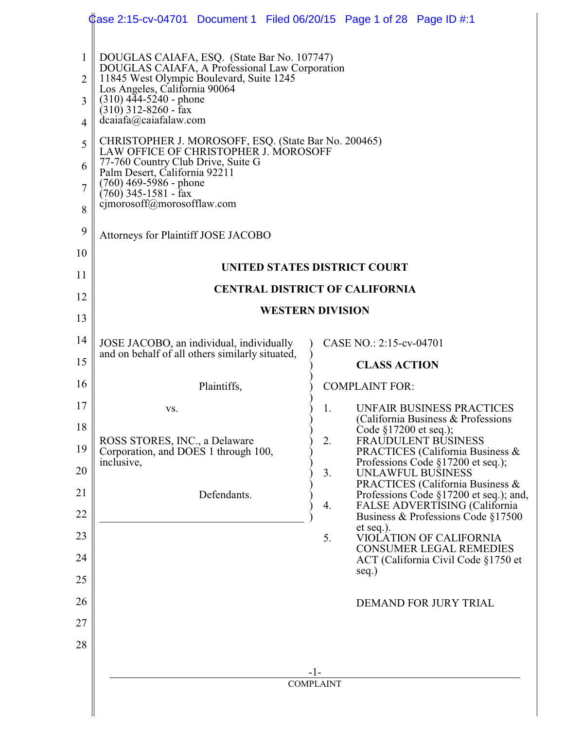|                                                                                   | Case 2:15-cv-04701 Document 1 Filed 06/20/15 Page 1 of 28 Page ID #:1                                                                                                                                                                                                                                                                                                                                                                                                                                               |                                                                                                                  |
|-----------------------------------------------------------------------------------|---------------------------------------------------------------------------------------------------------------------------------------------------------------------------------------------------------------------------------------------------------------------------------------------------------------------------------------------------------------------------------------------------------------------------------------------------------------------------------------------------------------------|------------------------------------------------------------------------------------------------------------------|
| $\mathbf{1}$<br>$\overline{2}$<br>3<br>$\overline{4}$<br>5<br>6<br>$\overline{7}$ | DOUGLAS CAIAFA, ESQ. (State Bar No. 107747)<br>DOUGLAS CAIAFA, A Professional Law Corporation<br>11845 West Olympic Boulevard, Suite 1245<br>Los Angeles, California 90064<br>$(310)$ 444-5240 - phone<br>$(310)$ 312-8260 - fax<br>dcaiafa@caiafalaw.com<br>CHRISTOPHER J. MOROSOFF, ESQ. (State Bar No. 200465)<br>LAW OFFICE OF CHRISTOPHER J. MOROSOFF<br>77-760 Country Club Drive, Suite G<br>Palm Desert, California 92211<br>(760) 469-5986 - phone<br>$(760)$ 345-1581 - fax<br>cjmorosoff@morosofflaw.com |                                                                                                                  |
| 8<br>9                                                                            |                                                                                                                                                                                                                                                                                                                                                                                                                                                                                                                     |                                                                                                                  |
| 10                                                                                | Attorneys for Plaintiff JOSE JACOBO                                                                                                                                                                                                                                                                                                                                                                                                                                                                                 |                                                                                                                  |
| 11                                                                                |                                                                                                                                                                                                                                                                                                                                                                                                                                                                                                                     | UNITED STATES DISTRICT COURT                                                                                     |
| 12                                                                                |                                                                                                                                                                                                                                                                                                                                                                                                                                                                                                                     | <b>CENTRAL DISTRICT OF CALIFORNIA</b>                                                                            |
| 13                                                                                |                                                                                                                                                                                                                                                                                                                                                                                                                                                                                                                     | <b>WESTERN DIVISION</b>                                                                                          |
| 14                                                                                | JOSE JACOBO, an individual, individually                                                                                                                                                                                                                                                                                                                                                                                                                                                                            | CASE NO.: 2:15-cv-04701                                                                                          |
| 15                                                                                | and on behalf of all others similarly situated,                                                                                                                                                                                                                                                                                                                                                                                                                                                                     | <b>CLASS ACTION</b>                                                                                              |
| 16                                                                                | Plaintiffs,                                                                                                                                                                                                                                                                                                                                                                                                                                                                                                         | <b>COMPLAINT FOR:</b>                                                                                            |
| 17                                                                                | VS.                                                                                                                                                                                                                                                                                                                                                                                                                                                                                                                 | 1.<br><b>UNFAIR BUSINESS PRACTICES</b>                                                                           |
| 18                                                                                |                                                                                                                                                                                                                                                                                                                                                                                                                                                                                                                     | (California Business & Professions)<br>Code §17200 et seq.);                                                     |
| 19                                                                                | ROSS STORES, INC., a Delaware<br>Corporation, and DOES 1 through 100,<br>inclusive,                                                                                                                                                                                                                                                                                                                                                                                                                                 | 2.<br><b>FRAUDULENT BUSINESS</b><br><b>PRACTICES</b> (California Business &<br>Professions Code §17200 et seq.); |
| 20                                                                                |                                                                                                                                                                                                                                                                                                                                                                                                                                                                                                                     | 3.<br>UNLAWFUL BUSINESS<br>PRACTICES (California Business &                                                      |
| 21                                                                                | Defendants.                                                                                                                                                                                                                                                                                                                                                                                                                                                                                                         | Professions Code §17200 et seq.); and,<br>FALSE ADVERTISING (California<br>4.                                    |
| 22                                                                                |                                                                                                                                                                                                                                                                                                                                                                                                                                                                                                                     | Business & Professions Code §17500<br>et seq.).                                                                  |
| 23                                                                                |                                                                                                                                                                                                                                                                                                                                                                                                                                                                                                                     | 5.<br>VIOLATION OF CALIFORNIA<br><b>CONSUMER LEGAL REMEDIES</b>                                                  |
| 24                                                                                |                                                                                                                                                                                                                                                                                                                                                                                                                                                                                                                     | ACT (California Civil Code §1750 et<br>seq.)                                                                     |
| 25                                                                                |                                                                                                                                                                                                                                                                                                                                                                                                                                                                                                                     |                                                                                                                  |
| 26                                                                                |                                                                                                                                                                                                                                                                                                                                                                                                                                                                                                                     | DEMAND FOR JURY TRIAL                                                                                            |
| 27                                                                                |                                                                                                                                                                                                                                                                                                                                                                                                                                                                                                                     |                                                                                                                  |
| 28                                                                                |                                                                                                                                                                                                                                                                                                                                                                                                                                                                                                                     |                                                                                                                  |
|                                                                                   |                                                                                                                                                                                                                                                                                                                                                                                                                                                                                                                     | -1-<br><b>COMPLAINT</b>                                                                                          |
|                                                                                   |                                                                                                                                                                                                                                                                                                                                                                                                                                                                                                                     |                                                                                                                  |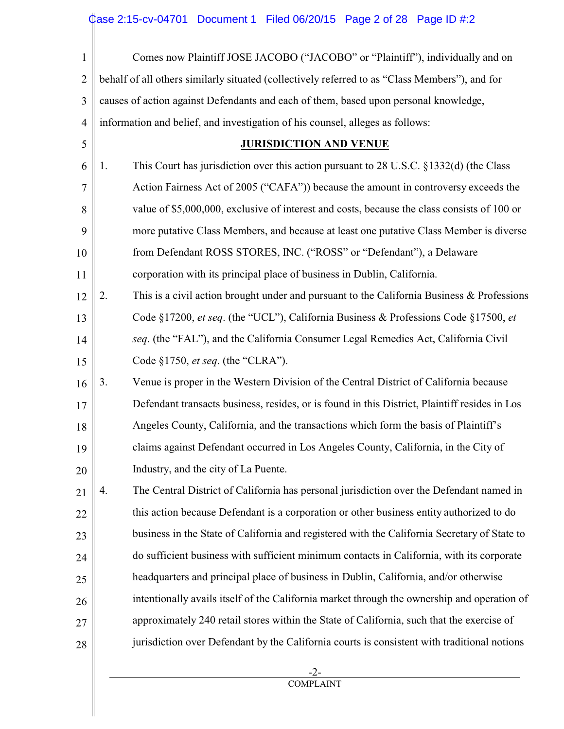| $\mathbf{1}$   | Comes now Plaintiff JOSE JACOBO ("JACOBO" or "Plaintiff"), individually and on                      |
|----------------|-----------------------------------------------------------------------------------------------------|
| $\overline{2}$ | behalf of all others similarly situated (collectively referred to as "Class Members"), and for      |
| 3              | causes of action against Defendants and each of them, based upon personal knowledge,                |
| $\overline{4}$ | information and belief, and investigation of his counsel, alleges as follows:                       |
| 5              | <b>JURISDICTION AND VENUE</b>                                                                       |
| 6              | This Court has jurisdiction over this action pursuant to 28 U.S.C. $\S$ 1332(d) (the Class<br>1.    |
| $\overline{7}$ | Action Fairness Act of 2005 ("CAFA")) because the amount in controversy exceeds the                 |
| 8              | value of \$5,000,000, exclusive of interest and costs, because the class consists of 100 or         |
| 9              | more putative Class Members, and because at least one putative Class Member is diverse              |
| 10             | from Defendant ROSS STORES, INC. ("ROSS" or "Defendant"), a Delaware                                |
| 11             | corporation with its principal place of business in Dublin, California.                             |
| 12             | This is a civil action brought under and pursuant to the California Business $\&$ Professions<br>2. |
| 13             | Code §17200, et seq. (the "UCL"), California Business & Professions Code §17500, et                 |
| 14             | seq. (the "FAL"), and the California Consumer Legal Remedies Act, California Civil                  |
| 15             | Code §1750, et seq. (the "CLRA").                                                                   |
| 16             | Venue is proper in the Western Division of the Central District of California because<br>3.         |
| 17             | Defendant transacts business, resides, or is found in this District, Plaintiff resides in Los       |
| 18             | Angeles County, California, and the transactions which form the basis of Plaintiff's                |
| 19             | claims against Defendant occurred in Los Angeles County, California, in the City of                 |
| 20             | Industry, and the city of La Puente.                                                                |
| 21             | The Central District of California has personal jurisdiction over the Defendant named in<br>4.      |
| 22             | this action because Defendant is a corporation or other business entity authorized to do            |
| 23             | business in the State of California and registered with the California Secretary of State to        |
| 24             | do sufficient business with sufficient minimum contacts in California, with its corporate           |
| 25             | headquarters and principal place of business in Dublin, California, and/or otherwise                |
| 26             | intentionally avails itself of the California market through the ownership and operation of         |
| 27             | approximately 240 retail stores within the State of California, such that the exercise of           |
| 28             | jurisdiction over Defendant by the California courts is consistent with traditional notions         |
|                |                                                                                                     |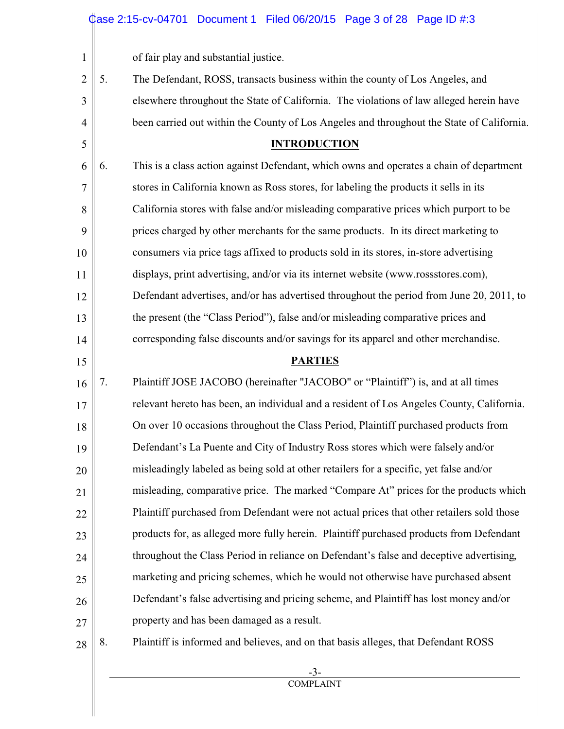of fair play and substantial justice.

1

5

15

2 3 4 5. The Defendant, ROSS, transacts business within the county of Los Angeles, and elsewhere throughout the State of California. The violations of law alleged herein have been carried out within the County of Los Angeles and throughout the State of California.

#### **INTRODUCTION**

6 7 8 9 10 11 12 13 14 6. This is a class action against Defendant, which owns and operates a chain of department stores in California known as Ross stores, for labeling the products it sells in its California stores with false and/or misleading comparative prices which purport to be prices charged by other merchants for the same products. In its direct marketing to consumers via price tags affixed to products sold in its stores, in-store advertising displays, print advertising, and/or via its internet website (www.rossstores.com), Defendant advertises, and/or has advertised throughout the period from June 20, 2011, to the present (the "Class Period"), false and/or misleading comparative prices and corresponding false discounts and/or savings for its apparel and other merchandise.

#### **PARTIES**

16 17 18 19 20 21 22 23 24 25 26 27 7. Plaintiff JOSE JACOBO (hereinafter "JACOBO" or "Plaintiff") is, and at all times relevant hereto has been, an individual and a resident of Los Angeles County, California. On over 10 occasions throughout the Class Period, Plaintiff purchased products from Defendant's La Puente and City of Industry Ross stores which were falsely and/or misleadingly labeled as being sold at other retailers for a specific, yet false and/or misleading, comparative price. The marked "Compare At" prices for the products which Plaintiff purchased from Defendant were not actual prices that other retailers sold those products for, as alleged more fully herein. Plaintiff purchased products from Defendant throughout the Class Period in reliance on Defendant's false and deceptive advertising, marketing and pricing schemes, which he would not otherwise have purchased absent Defendant's false advertising and pricing scheme, and Plaintiff has lost money and/or property and has been damaged as a result.

28

8. Plaintiff is informed and believes, and on that basis alleges, that Defendant ROSS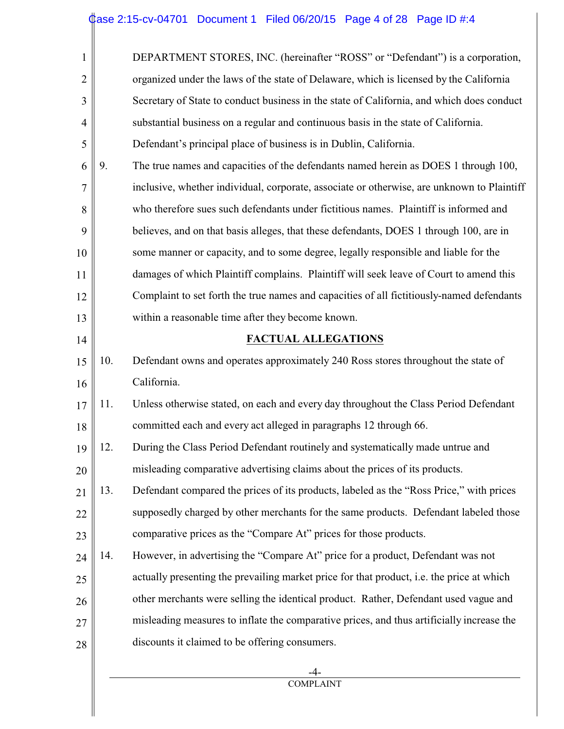| $\mathbf{1}$   |     | DEPARTMENT STORES, INC. (hereinafter "ROSS" or "Defendant") is a corporation,              |
|----------------|-----|--------------------------------------------------------------------------------------------|
| $\overline{2}$ |     | organized under the laws of the state of Delaware, which is licensed by the California     |
| 3              |     | Secretary of State to conduct business in the state of California, and which does conduct  |
| $\overline{4}$ |     | substantial business on a regular and continuous basis in the state of California.         |
| 5              |     | Defendant's principal place of business is in Dublin, California.                          |
| 6              | 9.  | The true names and capacities of the defendants named herein as DOES 1 through 100,        |
| $\overline{7}$ |     | inclusive, whether individual, corporate, associate or otherwise, are unknown to Plaintiff |
| 8              |     | who therefore sues such defendants under fictitious names. Plaintiff is informed and       |
| 9              |     | believes, and on that basis alleges, that these defendants, DOES 1 through 100, are in     |
| 10             |     | some manner or capacity, and to some degree, legally responsible and liable for the        |
| 11             |     | damages of which Plaintiff complains. Plaintiff will seek leave of Court to amend this     |
| 12             |     | Complaint to set forth the true names and capacities of all fictitiously-named defendants  |
| 13             |     | within a reasonable time after they become known.                                          |
| 14             |     | <b>FACTUAL ALLEGATIONS</b>                                                                 |
| 15             | 10. | Defendant owns and operates approximately 240 Ross stores throughout the state of          |
| 16             |     | California.                                                                                |
| 17             | 11. | Unless otherwise stated, on each and every day throughout the Class Period Defendant       |
| 18             |     | committed each and every act alleged in paragraphs 12 through 66.                          |
| 19             | 12. | During the Class Period Defendant routinely and systematically made untrue and             |
| 20             |     | misleading comparative advertising claims about the prices of its products.                |
| 21             | 13. | Defendant compared the prices of its products, labeled as the "Ross Price," with prices    |
| 22             |     | supposedly charged by other merchants for the same products. Defendant labeled those       |
| 23             |     | comparative prices as the "Compare At" prices for those products.                          |
| 24             | 14. | However, in advertising the "Compare At" price for a product, Defendant was not            |
| 25             |     | actually presenting the prevailing market price for that product, i.e. the price at which  |
|                |     |                                                                                            |
| 26             |     | other merchants were selling the identical product. Rather, Defendant used vague and       |
| 27             |     | misleading measures to inflate the comparative prices, and thus artificially increase the  |
| 28             |     | discounts it claimed to be offering consumers.                                             |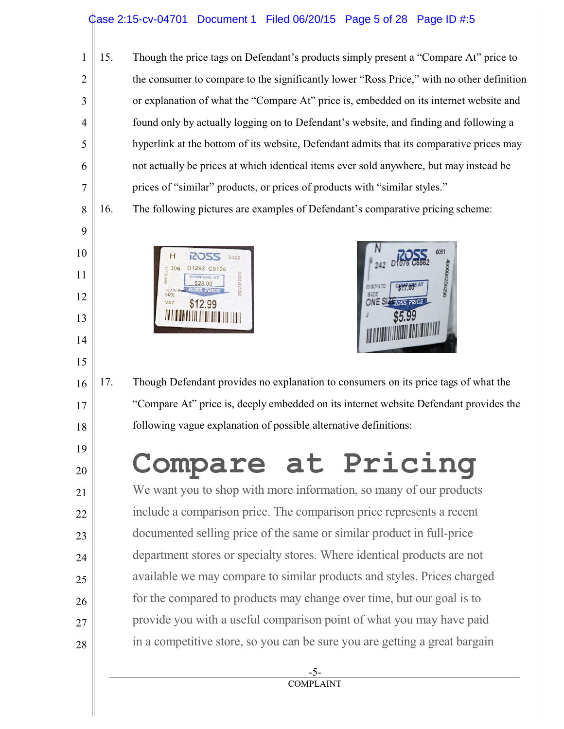#### ase 2:15-cv-04701 Document 1 Filed 06/20/15 Page 5 of 28 Page ID  $\#$ :5

6 15. Though the price tags on Defendant's products simply present a "Compare At" price to the consumer to compare to the significantly lower "Ross Price," with no other definition or explanation of what the "Compare At" price is, embedded on its internet website and found only by actually logging on to Defendant's website, and finding and following a hyperlink at the bottom of its website, Defendant admits that its comparative prices may not actually be prices at which identical items ever sold anywhere, but may instead be prices of "similar" products, or prices of products with "similar styles."

16. The following pictures are examples of Defendant's comparative pricing scheme:



1

2

3

4

5

7

8

9

10

11

12

13

14

15

16

17

18

19

20

21

22

23

24

25

26

27

28



17. Though Defendant provides no explanation to consumers on its price tags of what the "Compare At" price is, deeply embedded on its internet website Defendant provides the following vague explanation of possible alternative definitions:

# **Compare at Pricing**

We want you to shop with more information, so many of our products include a comparison price. The comparison price represents a recent documented selling price of the same or similar product in full-price department stores or specialty stores. Where identical products are not available we may compare to similar products and styles. Prices charged for the compared to products may change over time, but our goal is to provide you with a useful comparison point of what you may have paid in a competitive store, so you can be sure you are getting a great bargain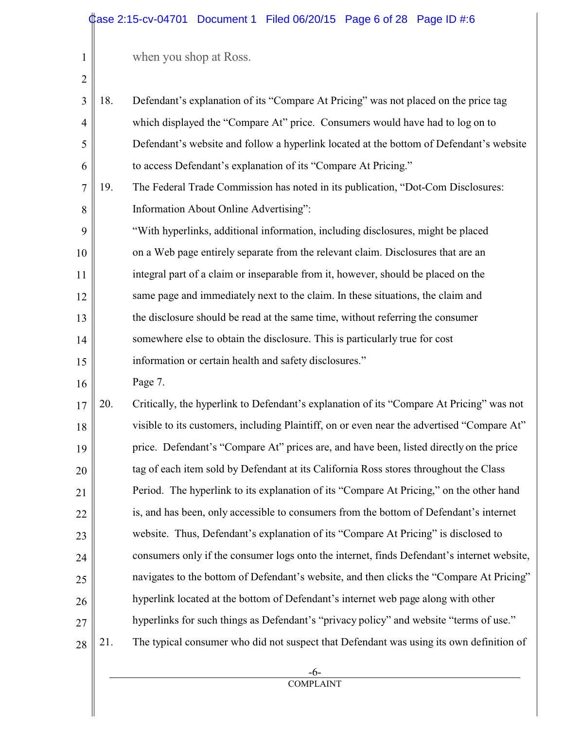1

| $\overline{2}$ |     |                                                                                            |
|----------------|-----|--------------------------------------------------------------------------------------------|
| 3              | 18. | Defendant's explanation of its "Compare At Pricing" was not placed on the price tag        |
| $\overline{4}$ |     | which displayed the "Compare At" price. Consumers would have had to log on to              |
| 5              |     | Defendant's website and follow a hyperlink located at the bottom of Defendant's website    |
| 6              |     | to access Defendant's explanation of its "Compare At Pricing."                             |
| $\overline{7}$ | 19. | The Federal Trade Commission has noted in its publication, "Dot-Com Disclosures:           |
| 8              |     | Information About Online Advertising":                                                     |
| 9              |     | "With hyperlinks, additional information, including disclosures, might be placed           |
| 10             |     | on a Web page entirely separate from the relevant claim. Disclosures that are an           |
| 11             |     | integral part of a claim or inseparable from it, however, should be placed on the          |
| 12             |     | same page and immediately next to the claim. In these situations, the claim and            |
| 13             |     | the disclosure should be read at the same time, without referring the consumer             |
| 14             |     | somewhere else to obtain the disclosure. This is particularly true for cost                |
| 15             |     | information or certain health and safety disclosures."                                     |
| 16             |     | Page 7.                                                                                    |
| 17             | 20. | Critically, the hyperlink to Defendant's explanation of its "Compare At Pricing" was not   |
| 18             |     | visible to its customers, including Plaintiff, on or even near the advertised "Compare At" |
| 19             |     | price. Defendant's "Compare At" prices are, and have been, listed directly on the price    |
| 20             |     | tag of each item sold by Defendant at its California Ross stores throughout the Class      |
| 21             |     | Period. The hyperlink to its explanation of its "Compare At Pricing," on the other hand    |
|                |     |                                                                                            |

| 22 |     | is, and has been, only accessible to consumers from the bottom of Defendant's internet     |
|----|-----|--------------------------------------------------------------------------------------------|
| 23 |     | website. Thus, Defendant's explanation of its "Compare At Pricing" is disclosed to         |
| 24 |     | consumers only if the consumer logs onto the internet, finds Defendant's internet website, |
| 25 |     | navigates to the bottom of Defendant's website, and then clicks the "Compare At Pricing"   |
| 26 |     | hyperlink located at the bottom of Defendant's internet web page along with other          |
| 27 |     | hyperlinks for such things as Defendant's "privacy policy" and website "terms of use."     |
| 28 | 21, | The typical consumer who did not suspect that Defendant was using its own definition of    |
|    |     |                                                                                            |

 -6- **COMPLAINT**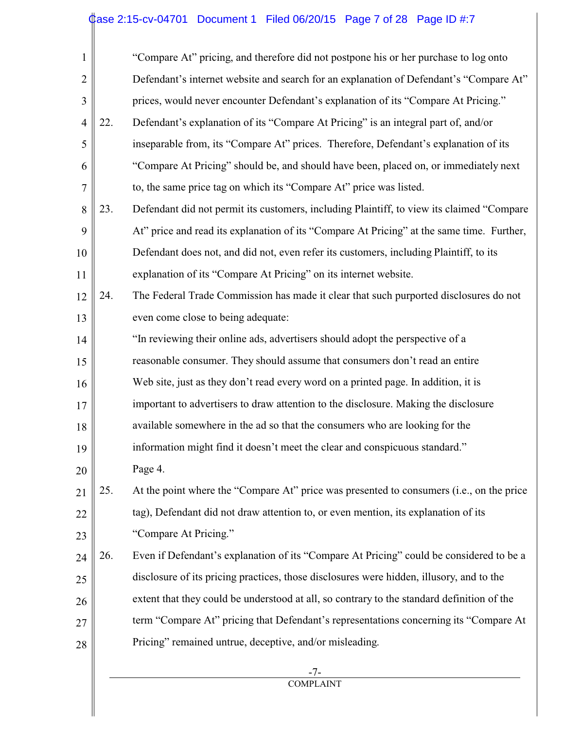#### Case 2:15-cv-04701 Document 1 Filed 06/20/15 Page 7 of 28 Page ID #:7

| $\mathbf{1}$   |     | "Compare At" pricing, and therefore did not postpone his or her purchase to log onto       |
|----------------|-----|--------------------------------------------------------------------------------------------|
| $\overline{2}$ |     | Defendant's internet website and search for an explanation of Defendant's "Compare At"     |
| $\mathfrak{Z}$ |     | prices, would never encounter Defendant's explanation of its "Compare At Pricing."         |
| $\overline{4}$ | 22. | Defendant's explanation of its "Compare At Pricing" is an integral part of, and/or         |
| 5              |     | inseparable from, its "Compare At" prices. Therefore, Defendant's explanation of its       |
| 6              |     | "Compare At Pricing" should be, and should have been, placed on, or immediately next       |
| 7              |     | to, the same price tag on which its "Compare At" price was listed.                         |
| 8              | 23. | Defendant did not permit its customers, including Plaintiff, to view its claimed "Compare" |
| 9              |     | At" price and read its explanation of its "Compare At Pricing" at the same time. Further,  |
| 10             |     | Defendant does not, and did not, even refer its customers, including Plaintiff, to its     |
| 11             |     | explanation of its "Compare At Pricing" on its internet website.                           |
| 12             | 24. | The Federal Trade Commission has made it clear that such purported disclosures do not      |
| 13             |     | even come close to being adequate:                                                         |
| 14             |     | "In reviewing their online ads, advertisers should adopt the perspective of a              |
| 15             |     | reasonable consumer. They should assume that consumers don't read an entire                |
| 16             |     | Web site, just as they don't read every word on a printed page. In addition, it is         |
| 17             |     | important to advertisers to draw attention to the disclosure. Making the disclosure        |
| 18             |     | available somewhere in the ad so that the consumers who are looking for the                |
| 19             |     | information might find it doesn't meet the clear and conspicuous standard."                |
| 20             |     | Page 4.                                                                                    |
| 21             | 25. | At the point where the "Compare At" price was presented to consumers (i.e., on the price   |
| 22             |     | tag), Defendant did not draw attention to, or even mention, its explanation of its         |
| 23             |     | "Compare At Pricing."                                                                      |
| 24             | 26. | Even if Defendant's explanation of its "Compare At Pricing" could be considered to be a    |
| 25             |     | disclosure of its pricing practices, those disclosures were hidden, illusory, and to the   |
| 26             |     | extent that they could be understood at all, so contrary to the standard definition of the |
| 27             |     | term "Compare At" pricing that Defendant's representations concerning its "Compare At      |
| 28             |     | Pricing" remained untrue, deceptive, and/or misleading.                                    |
|                |     |                                                                                            |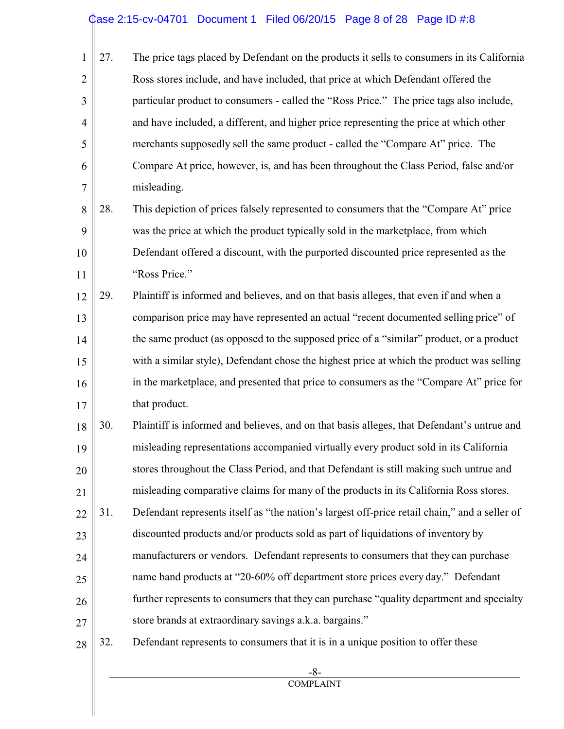#### Case 2:15-cv-04701 Document 1 Filed 06/20/15 Page 8 of 28 Page ID #:8

1 2 3 4 5 6 7 27. The price tags placed by Defendant on the products it sells to consumers in its California Ross stores include, and have included, that price at which Defendant offered the particular product to consumers - called the "Ross Price." The price tags also include, and have included, a different, and higher price representing the price at which other merchants supposedly sell the same product - called the "Compare At" price. The Compare At price, however, is, and has been throughout the Class Period, false and/or misleading.

8 9 10 11 28. This depiction of prices falsely represented to consumers that the "Compare At" price was the price at which the product typically sold in the marketplace, from which Defendant offered a discount, with the purported discounted price represented as the "Ross Price."

12 13 14 15 16 17 29. Plaintiff is informed and believes, and on that basis alleges, that even if and when a comparison price may have represented an actual "recent documented selling price" of the same product (as opposed to the supposed price of a "similar" product, or a product with a similar style), Defendant chose the highest price at which the product was selling in the marketplace, and presented that price to consumers as the "Compare At" price for that product.

18 19 20 21 22 23 24 25 26 27 30. Plaintiff is informed and believes, and on that basis alleges, that Defendant's untrue and misleading representations accompanied virtually every product sold in its California stores throughout the Class Period, and that Defendant is still making such untrue and misleading comparative claims for many of the products in its California Ross stores. 31. Defendant represents itself as "the nation's largest off-price retail chain," and a seller of discounted products and/or products sold as part of liquidations of inventory by manufacturers or vendors. Defendant represents to consumers that they can purchase name band products at "20-60% off department store prices every day." Defendant further represents to consumers that they can purchase "quality department and specialty store brands at extraordinary savings a.k.a. bargains."

28 32. Defendant represents to consumers that it is in a unique position to offer these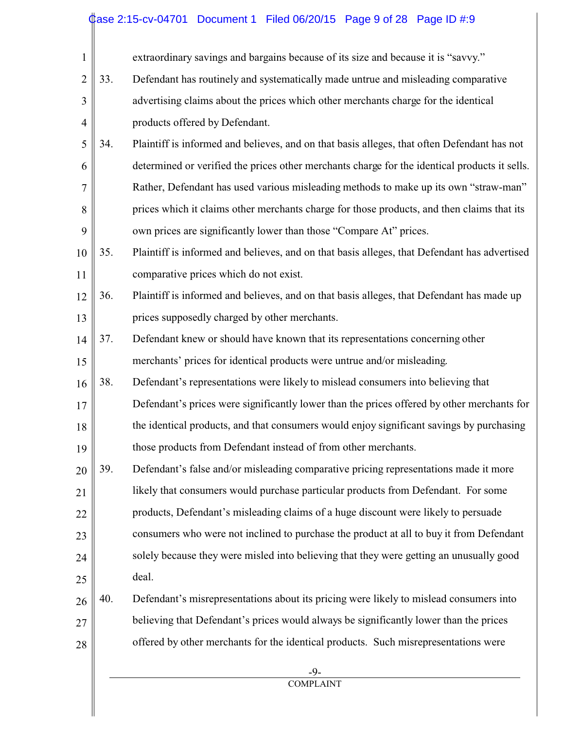#### Case 2:15-cv-04701 Document 1 Filed 06/20/15 Page 9 of 28 Page ID #:9

| $\mathbf{1}$   |     | extraordinary savings and bargains because of its size and because it is "savvy."             |
|----------------|-----|-----------------------------------------------------------------------------------------------|
| $\mathbf{2}$   | 33. | Defendant has routinely and systematically made untrue and misleading comparative             |
| 3              |     | advertising claims about the prices which other merchants charge for the identical            |
| $\overline{4}$ |     | products offered by Defendant.                                                                |
| 5              | 34. | Plaintiff is informed and believes, and on that basis alleges, that often Defendant has not   |
| 6              |     | determined or verified the prices other merchants charge for the identical products it sells. |
| 7              |     | Rather, Defendant has used various misleading methods to make up its own "straw-man"          |
| 8              |     | prices which it claims other merchants charge for those products, and then claims that its    |
| 9              |     | own prices are significantly lower than those "Compare At" prices.                            |
| 10             | 35. | Plaintiff is informed and believes, and on that basis alleges, that Defendant has advertised  |
| 11             |     | comparative prices which do not exist.                                                        |
| 12             | 36. | Plaintiff is informed and believes, and on that basis alleges, that Defendant has made up     |
| 13             |     | prices supposedly charged by other merchants.                                                 |
| 14             | 37. | Defendant knew or should have known that its representations concerning other                 |
| 15             |     | merchants' prices for identical products were untrue and/or misleading.                       |
| 16             | 38. | Defendant's representations were likely to mislead consumers into believing that              |
| 17             |     | Defendant's prices were significantly lower than the prices offered by other merchants for    |
| 18             |     | the identical products, and that consumers would enjoy significant savings by purchasing      |
| 19             |     | those products from Defendant instead of from other merchants.                                |
| 20             | 39. | Defendant's false and/or misleading comparative pricing representations made it more          |
| 21             |     | likely that consumers would purchase particular products from Defendant. For some             |
| 22             |     | products, Defendant's misleading claims of a huge discount were likely to persuade            |
| 23             |     | consumers who were not inclined to purchase the product at all to buy it from Defendant       |
| 24             |     | solely because they were misled into believing that they were getting an unusually good       |
| 25             |     | deal.                                                                                         |
| 26             | 40. | Defendant's misrepresentations about its pricing were likely to mislead consumers into        |
| 27             |     | believing that Defendant's prices would always be significantly lower than the prices         |
| 28             |     | offered by other merchants for the identical products. Such misrepresentations were           |
|                |     | $-9-$                                                                                         |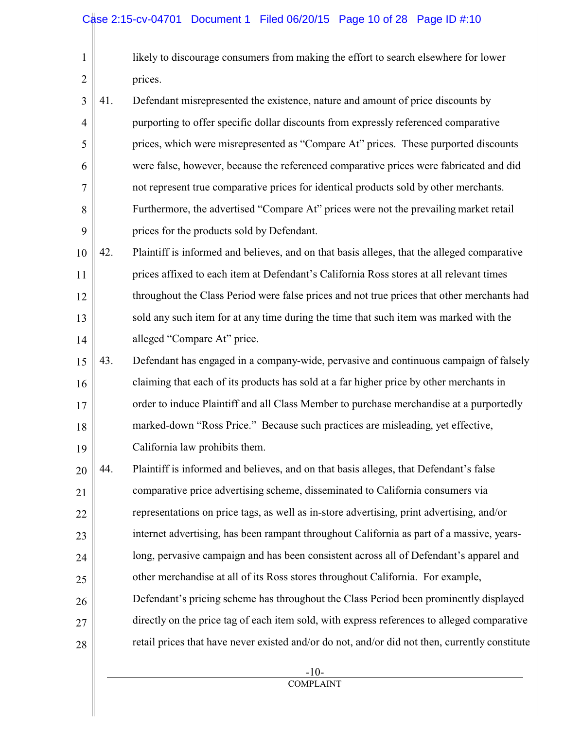1

2

likely to discourage consumers from making the effort to search elsewhere for lower prices.

3 4 5 6 7 8 9 41. Defendant misrepresented the existence, nature and amount of price discounts by purporting to offer specific dollar discounts from expressly referenced comparative prices, which were misrepresented as "Compare At" prices. These purported discounts were false, however, because the referenced comparative prices were fabricated and did not represent true comparative prices for identical products sold by other merchants. Furthermore, the advertised "Compare At" prices were not the prevailing market retail prices for the products sold by Defendant.

10 11 12 13 14 42. Plaintiff is informed and believes, and on that basis alleges, that the alleged comparative prices affixed to each item at Defendant's California Ross stores at all relevant times throughout the Class Period were false prices and not true prices that other merchants had sold any such item for at any time during the time that such item was marked with the alleged "Compare At" price.

- 15 16 17 18 19 43. Defendant has engaged in a company-wide, pervasive and continuous campaign of falsely claiming that each of its products has sold at a far higher price by other merchants in order to induce Plaintiff and all Class Member to purchase merchandise at a purportedly marked-down "Ross Price." Because such practices are misleading, yet effective, California law prohibits them.
- 20 21 22 23 24 25 26 27 28 44. Plaintiff is informed and believes, and on that basis alleges, that Defendant's false comparative price advertising scheme, disseminated to California consumers via representations on price tags, as well as in-store advertising, print advertising, and/or internet advertising, has been rampant throughout California as part of a massive, yearslong, pervasive campaign and has been consistent across all of Defendant's apparel and other merchandise at all of its Ross stores throughout California. For example, Defendant's pricing scheme has throughout the Class Period been prominently displayed directly on the price tag of each item sold, with express references to alleged comparative retail prices that have never existed and/or do not, and/or did not then, currently constitute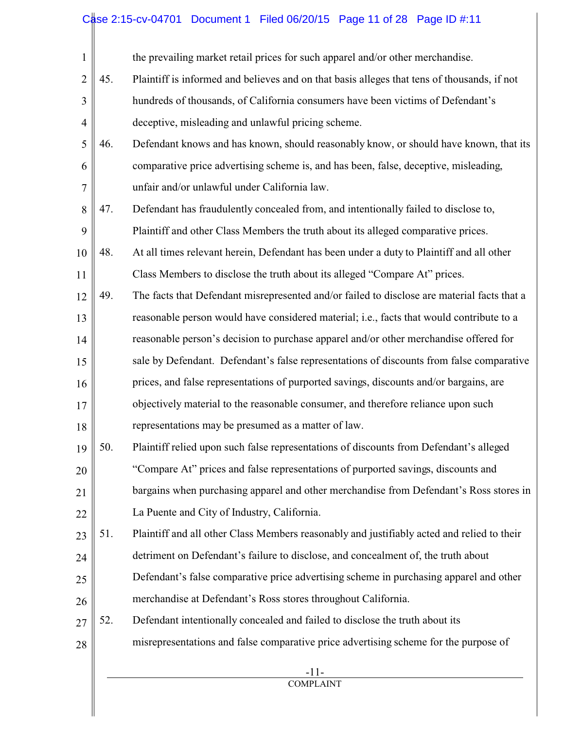## Case 2:15-cv-04701 Document 1 Filed 06/20/15 Page 11 of 28 Page ID #:11

| $\mathbf{1}$   |     | the prevailing market retail prices for such apparel and/or other merchandise.              |
|----------------|-----|---------------------------------------------------------------------------------------------|
| $\overline{2}$ | 45. | Plaintiff is informed and believes and on that basis alleges that tens of thousands, if not |
| 3              |     | hundreds of thousands, of California consumers have been victims of Defendant's             |
| $\overline{4}$ |     | deceptive, misleading and unlawful pricing scheme.                                          |
| 5              | 46. | Defendant knows and has known, should reasonably know, or should have known, that its       |
| 6              |     | comparative price advertising scheme is, and has been, false, deceptive, misleading,        |
| $\overline{7}$ |     | unfair and/or unlawful under California law.                                                |
| 8              | 47. | Defendant has fraudulently concealed from, and intentionally failed to disclose to,         |
| 9              |     | Plaintiff and other Class Members the truth about its alleged comparative prices.           |
| 10             | 48. | At all times relevant herein, Defendant has been under a duty to Plaintiff and all other    |
| 11             |     | Class Members to disclose the truth about its alleged "Compare At" prices.                  |
| 12             | 49. | The facts that Defendant misrepresented and/or failed to disclose are material facts that a |
| 13             |     | reasonable person would have considered material; i.e., facts that would contribute to a    |
| 14             |     | reasonable person's decision to purchase apparel and/or other merchandise offered for       |
| 15             |     | sale by Defendant. Defendant's false representations of discounts from false comparative    |
| 16             |     | prices, and false representations of purported savings, discounts and/or bargains, are      |
| 17             |     | objectively material to the reasonable consumer, and therefore reliance upon such           |
| 18             |     | representations may be presumed as a matter of law.                                         |
| 19             | 50. | Plaintiff relied upon such false representations of discounts from Defendant's alleged      |
| 20             |     | "Compare At" prices and false representations of purported savings, discounts and           |
| 21             |     | bargains when purchasing apparel and other merchandise from Defendant's Ross stores in      |
| 22             |     | La Puente and City of Industry, California.                                                 |
| 23             | 51. | Plaintiff and all other Class Members reasonably and justifiably acted and relied to their  |
| 24             |     | detriment on Defendant's failure to disclose, and concealment of, the truth about           |
| 25             |     | Defendant's false comparative price advertising scheme in purchasing apparel and other      |
| 26             |     | merchandise at Defendant's Ross stores throughout California.                               |
| 27             | 52. | Defendant intentionally concealed and failed to disclose the truth about its                |
| 28             |     | misrepresentations and false comparative price advertising scheme for the purpose of        |
|                |     | $-11-$                                                                                      |
|                |     | <b>COMPLAINT</b>                                                                            |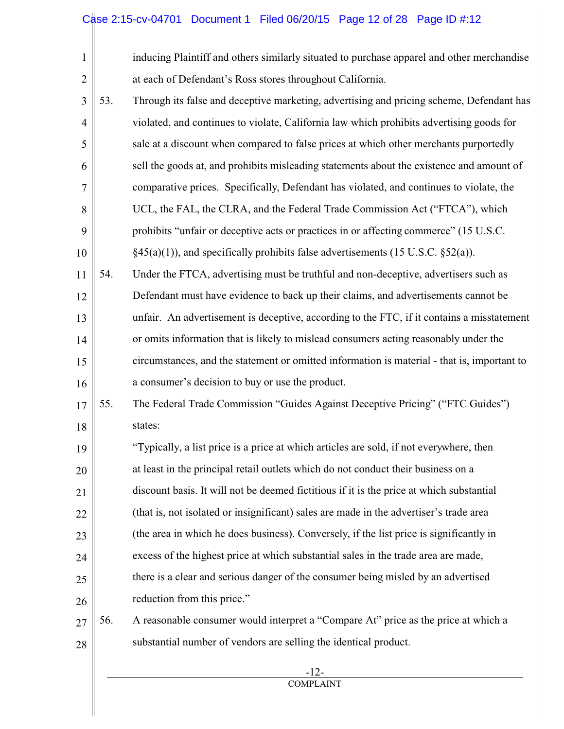#### Case 2:15-cv-04701 Document 1 Filed 06/20/15 Page 12 of 28 Page ID #:12

| $\mathbf{1}$   |     | inducing Plaintiff and others similarly situated to purchase apparel and other merchandise  |
|----------------|-----|---------------------------------------------------------------------------------------------|
| $\overline{2}$ |     | at each of Defendant's Ross stores throughout California.                                   |
| 3              | 53. | Through its false and deceptive marketing, advertising and pricing scheme, Defendant has    |
| $\overline{4}$ |     | violated, and continues to violate, California law which prohibits advertising goods for    |
| 5              |     | sale at a discount when compared to false prices at which other merchants purportedly       |
| 6              |     | sell the goods at, and prohibits misleading statements about the existence and amount of    |
| 7              |     | comparative prices. Specifically, Defendant has violated, and continues to violate, the     |
| 8              |     | UCL, the FAL, the CLRA, and the Federal Trade Commission Act ("FTCA"), which                |
| 9              |     | prohibits "unfair or deceptive acts or practices in or affecting commerce" (15 U.S.C.       |
| 10             |     | $\S45(a)(1)$ , and specifically prohibits false advertisements (15 U.S.C. $\S52(a)$ ).      |
| 11             | 54. | Under the FTCA, advertising must be truthful and non-deceptive, advertisers such as         |
| 12             |     | Defendant must have evidence to back up their claims, and advertisements cannot be          |
| 13             |     | unfair. An advertisement is deceptive, according to the FTC, if it contains a misstatement  |
| 14             |     | or omits information that is likely to mislead consumers acting reasonably under the        |
| 15             |     | circumstances, and the statement or omitted information is material - that is, important to |
| 16             |     | a consumer's decision to buy or use the product.                                            |
| 17             | 55. | The Federal Trade Commission "Guides Against Deceptive Pricing" ("FTC Guides")              |
| 18             |     | states:                                                                                     |
| 19             |     | "Typically, a list price is a price at which articles are sold, if not everywhere, then     |
| 20             |     | at least in the principal retail outlets which do not conduct their business on a           |
| 21             |     | discount basis. It will not be deemed fictitious if it is the price at which substantial    |
| 22             |     | (that is, not isolated or insignificant) sales are made in the advertiser's trade area      |
| 23             |     | (the area in which he does business). Conversely, if the list price is significantly in     |
| 24             |     | excess of the highest price at which substantial sales in the trade area are made,          |
| 25             |     | there is a clear and serious danger of the consumer being misled by an advertised           |
| 26             |     | reduction from this price."                                                                 |
| 27             | 56. | A reasonable consumer would interpret a "Compare At" price as the price at which a          |
| 28             |     | substantial number of vendors are selling the identical product.                            |
|                |     |                                                                                             |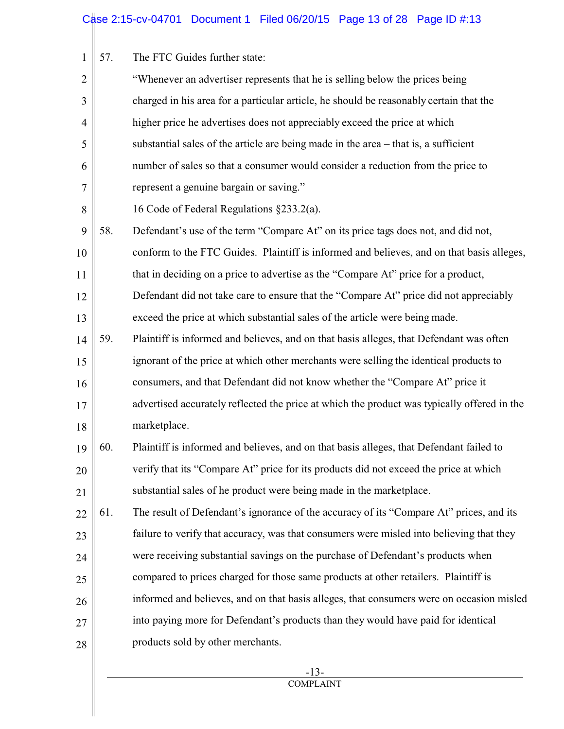1 | 57. The FTC Guides further state:

| $\mathbf{2}$   |     | "Whenever an advertiser represents that he is selling below the prices being                |
|----------------|-----|---------------------------------------------------------------------------------------------|
| 3              |     | charged in his area for a particular article, he should be reasonably certain that the      |
| $\overline{4}$ |     | higher price he advertises does not appreciably exceed the price at which                   |
| 5              |     | substantial sales of the article are being made in the area $-$ that is, a sufficient       |
| 6              |     | number of sales so that a consumer would consider a reduction from the price to             |
| $\overline{7}$ |     | represent a genuine bargain or saving."                                                     |
| $8\,$          |     | 16 Code of Federal Regulations §233.2(a).                                                   |
| 9              | 58. | Defendant's use of the term "Compare At" on its price tags does not, and did not,           |
| 10             |     | conform to the FTC Guides. Plaintiff is informed and believes, and on that basis alleges,   |
| 11             |     | that in deciding on a price to advertise as the "Compare At" price for a product,           |
| 12             |     | Defendant did not take care to ensure that the "Compare At" price did not appreciably       |
| 13             |     | exceed the price at which substantial sales of the article were being made.                 |
| 14             | 59. | Plaintiff is informed and believes, and on that basis alleges, that Defendant was often     |
| 15             |     | ignorant of the price at which other merchants were selling the identical products to       |
| 16             |     | consumers, and that Defendant did not know whether the "Compare At" price it                |
| 17             |     | advertised accurately reflected the price at which the product was typically offered in the |
| 18             |     | marketplace.                                                                                |
| 19             | 60. | Plaintiff is informed and believes, and on that basis alleges, that Defendant failed to     |
| 20             |     | verify that its "Compare At" price for its products did not exceed the price at which       |
| 21             |     | substantial sales of he product were being made in the marketplace.                         |
| 22             | 61. | The result of Defendant's ignorance of the accuracy of its "Compare At" prices, and its     |
| 23             |     | failure to verify that accuracy, was that consumers were misled into believing that they    |
| 24             |     | were receiving substantial savings on the purchase of Defendant's products when             |
| 25             |     | compared to prices charged for those same products at other retailers. Plaintiff is         |
| 26             |     | informed and believes, and on that basis alleges, that consumers were on occasion misled    |
| 27             |     | into paying more for Defendant's products than they would have paid for identical           |
| 28             |     | products sold by other merchants.                                                           |
|                |     |                                                                                             |

 -13- **COMPLAINT**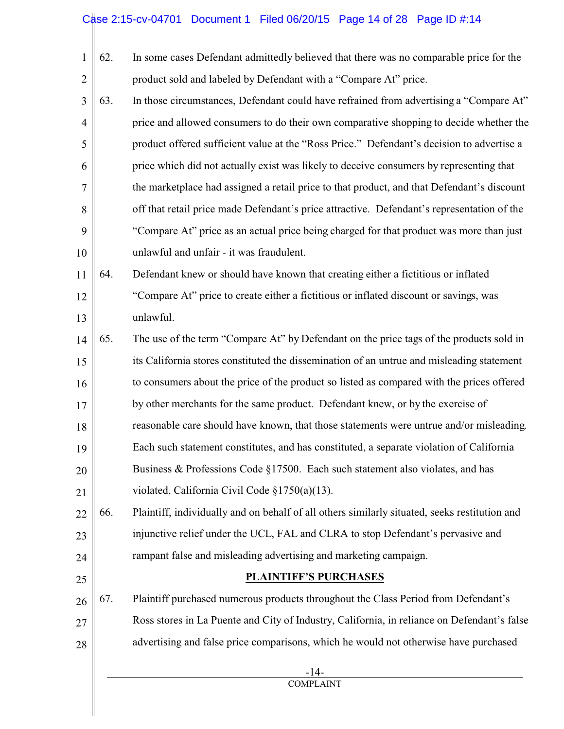# Case 2:15-cv-04701 Document 1 Filed 06/20/15 Page 14 of 28 Page ID #:14

| 1              | 62. | In some cases Defendant admittedly believed that there was no comparable price for the        |
|----------------|-----|-----------------------------------------------------------------------------------------------|
| $\overline{2}$ |     | product sold and labeled by Defendant with a "Compare At" price.                              |
| $\mathfrak{Z}$ | 63. | In those circumstances, Defendant could have refrained from advertising a "Compare At"        |
| $\overline{4}$ |     | price and allowed consumers to do their own comparative shopping to decide whether the        |
| 5              |     | product offered sufficient value at the "Ross Price." Defendant's decision to advertise a     |
| 6              |     | price which did not actually exist was likely to deceive consumers by representing that       |
| 7              |     | the marketplace had assigned a retail price to that product, and that Defendant's discount    |
| 8              |     | off that retail price made Defendant's price attractive. Defendant's representation of the    |
| 9              |     | "Compare At" price as an actual price being charged for that product was more than just       |
| 10             |     | unlawful and unfair - it was fraudulent.                                                      |
| 11             | 64. | Defendant knew or should have known that creating either a fictitious or inflated             |
| 12             |     | "Compare At" price to create either a fictitious or inflated discount or savings, was         |
| 13             |     | unlawful.                                                                                     |
| 14             | 65. | The use of the term "Compare At" by Defendant on the price tags of the products sold in       |
| 15             |     | its California stores constituted the dissemination of an untrue and misleading statement     |
| 16             |     | to consumers about the price of the product so listed as compared with the prices offered     |
| 17             |     | by other merchants for the same product. Defendant knew, or by the exercise of                |
| 18             |     | reasonable care should have known, that those statements were untrue and/or misleading.       |
| 19             |     | Each such statement constitutes, and has constituted, a separate violation of California      |
| 20             |     | Business & Professions Code §17500. Each such statement also violates, and has                |
| 21             |     | violated, California Civil Code §1750(a)(13).                                                 |
| 22             | 66. | Plaintiff, individually and on behalf of all others similarly situated, seeks restitution and |
| 23             |     | injunctive relief under the UCL, FAL and CLRA to stop Defendant's pervasive and               |
| 24             |     | rampant false and misleading advertising and marketing campaign.                              |
| 25             |     | <b>PLAINTIFF'S PURCHASES</b>                                                                  |
| 26             | 67. | Plaintiff purchased numerous products throughout the Class Period from Defendant's            |
| 27             |     | Ross stores in La Puente and City of Industry, California, in reliance on Defendant's false   |
| 28             |     | advertising and false price comparisons, which he would not otherwise have purchased          |

 -14- COMPLAINT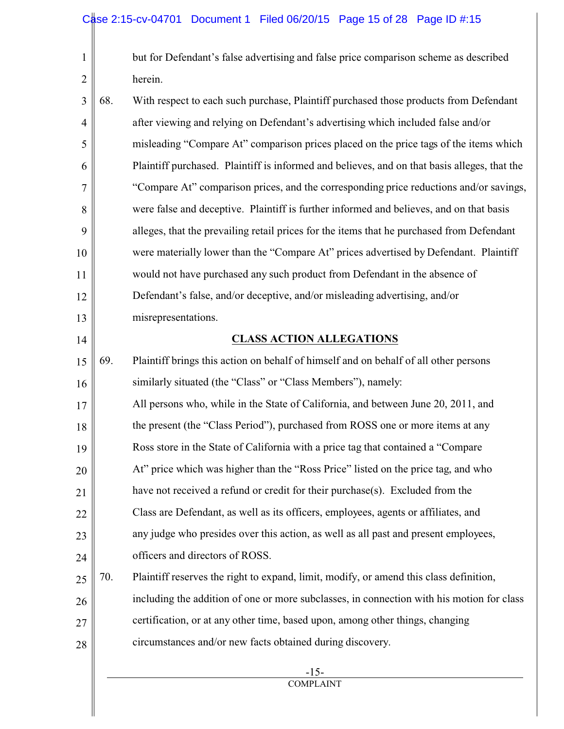| $\mathbf{1}$   |     | but for Defendant's false advertising and false price comparison scheme as described         |
|----------------|-----|----------------------------------------------------------------------------------------------|
| $\overline{2}$ |     | herein.                                                                                      |
| 3              | 68. | With respect to each such purchase, Plaintiff purchased those products from Defendant        |
| $\overline{4}$ |     | after viewing and relying on Defendant's advertising which included false and/or             |
| 5              |     | misleading "Compare At" comparison prices placed on the price tags of the items which        |
| 6              |     | Plaintiff purchased. Plaintiff is informed and believes, and on that basis alleges, that the |
| 7              |     | "Compare At" comparison prices, and the corresponding price reductions and/or savings,       |
| 8              |     | were false and deceptive. Plaintiff is further informed and believes, and on that basis      |
| 9              |     | alleges, that the prevailing retail prices for the items that he purchased from Defendant    |
| 10             |     | were materially lower than the "Compare At" prices advertised by Defendant. Plaintiff        |
| 11             |     | would not have purchased any such product from Defendant in the absence of                   |
| 12             |     | Defendant's false, and/or deceptive, and/or misleading advertising, and/or                   |
| 13             |     | misrepresentations.                                                                          |
| 14             |     | <b>CLASS ACTION ALLEGATIONS</b>                                                              |
| 15             | 69. | Plaintiff brings this action on behalf of himself and on behalf of all other persons         |
| 16             |     | similarly situated (the "Class" or "Class Members"), namely:                                 |
| 17             |     | All persons who, while in the State of California, and between June 20, 2011, and            |
| 18             |     | the present (the "Class Period"), purchased from ROSS one or more items at any               |
| 19             |     | Ross store in the State of California with a price tag that contained a "Compare             |
| 20             |     | At" price which was higher than the "Ross Price" listed on the price tag, and who            |
| 21             |     | have not received a refund or credit for their purchase(s). Excluded from the                |
| 22             |     | Class are Defendant, as well as its officers, employees, agents or affiliates, and           |
| 23             |     | any judge who presides over this action, as well as all past and present employees,          |
| 24             |     | officers and directors of ROSS.                                                              |
| 25             | 70. | Plaintiff reserves the right to expand, limit, modify, or amend this class definition,       |
| 26             |     | including the addition of one or more subclasses, in connection with his motion for class    |
| 27             |     | certification, or at any other time, based upon, among other things, changing                |
| 28             |     | circumstances and/or new facts obtained during discovery.                                    |
|                |     |                                                                                              |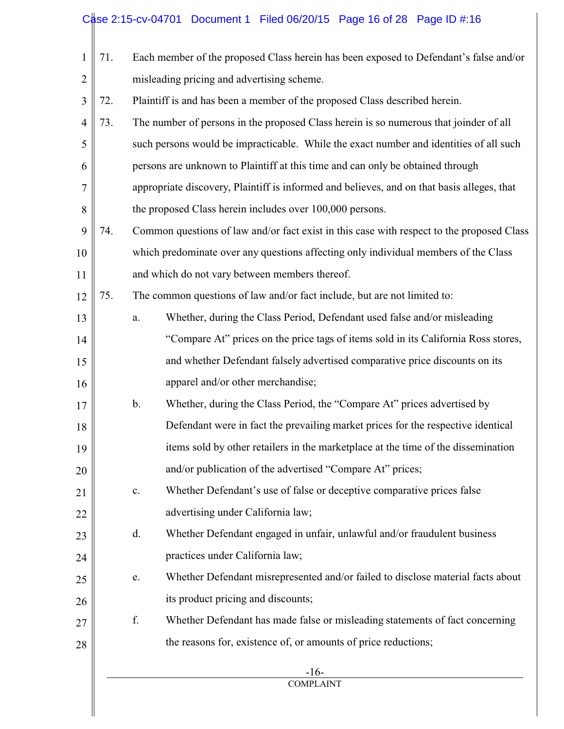## Case 2:15-cv-04701 Document 1 Filed 06/20/15 Page 16 of 28 Page ID #:16

| 1              | 71. |    | Each member of the proposed Class herein has been exposed to Defendant's false and/or      |
|----------------|-----|----|--------------------------------------------------------------------------------------------|
| $\mathbf{2}$   |     |    | misleading pricing and advertising scheme.                                                 |
| 3              | 72. |    | Plaintiff is and has been a member of the proposed Class described herein.                 |
| $\overline{4}$ | 73. |    | The number of persons in the proposed Class herein is so numerous that joinder of all      |
| 5              |     |    | such persons would be impracticable. While the exact number and identities of all such     |
| 6              |     |    | persons are unknown to Plaintiff at this time and can only be obtained through             |
| 7              |     |    | appropriate discovery, Plaintiff is informed and believes, and on that basis alleges, that |
| 8              |     |    | the proposed Class herein includes over 100,000 persons.                                   |
| 9              | 74. |    | Common questions of law and/or fact exist in this case with respect to the proposed Class  |
| 10             |     |    | which predominate over any questions affecting only individual members of the Class        |
| 11             |     |    | and which do not vary between members thereof.                                             |
| 12             | 75. |    | The common questions of law and/or fact include, but are not limited to:                   |
| 13             |     | a. | Whether, during the Class Period, Defendant used false and/or misleading                   |
| 14             |     |    | "Compare At" prices on the price tags of items sold in its California Ross stores,         |
| 15             |     |    | and whether Defendant falsely advertised comparative price discounts on its                |
| 16             |     |    | apparel and/or other merchandise;                                                          |
| 17             |     | b. | Whether, during the Class Period, the "Compare At" prices advertised by                    |
| 18             |     |    | Defendant were in fact the prevailing market prices for the respective identical           |
| 19             |     |    | items sold by other retailers in the marketplace at the time of the dissemination          |
| 20             |     |    | and/or publication of the advertised "Compare At" prices;                                  |
| 21             |     | c. | Whether Defendant's use of false or deceptive comparative prices false                     |
| 22             |     |    | advertising under California law;                                                          |
| 23             |     | d. | Whether Defendant engaged in unfair, unlawful and/or fraudulent business                   |
| 24             |     |    | practices under California law;                                                            |
| 25             |     | e. | Whether Defendant misrepresented and/or failed to disclose material facts about            |
| 26             |     |    | its product pricing and discounts;                                                         |
| 27             |     | f. | Whether Defendant has made false or misleading statements of fact concerning               |
| 28             |     |    | the reasons for, existence of, or amounts of price reductions;                             |
|                |     |    | $-16-$                                                                                     |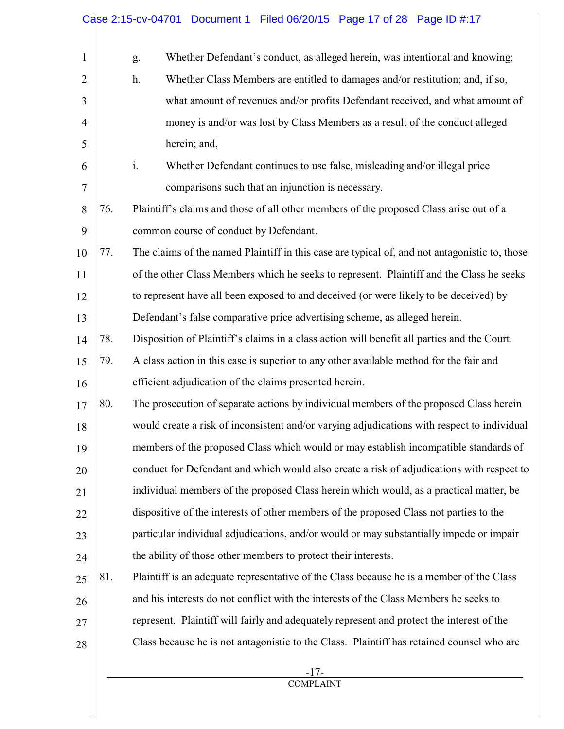| $\mathbf{1}$   |     | g. | Whether Defendant's conduct, as alleged herein, was intentional and knowing;                  |
|----------------|-----|----|-----------------------------------------------------------------------------------------------|
| $\overline{2}$ |     | h. | Whether Class Members are entitled to damages and/or restitution; and, if so,                 |
| 3              |     |    | what amount of revenues and/or profits Defendant received, and what amount of                 |
| $\overline{4}$ |     |    | money is and/or was lost by Class Members as a result of the conduct alleged                  |
| 5              |     |    | herein; and,                                                                                  |
| 6              |     | i. | Whether Defendant continues to use false, misleading and/or illegal price                     |
| $\overline{7}$ |     |    | comparisons such that an injunction is necessary.                                             |
| 8              | 76. |    | Plaintiff's claims and those of all other members of the proposed Class arise out of a        |
| 9              |     |    | common course of conduct by Defendant.                                                        |
| 10             | 77. |    | The claims of the named Plaintiff in this case are typical of, and not antagonistic to, those |
| 11             |     |    | of the other Class Members which he seeks to represent. Plaintiff and the Class he seeks      |
| 12             |     |    | to represent have all been exposed to and deceived (or were likely to be deceived) by         |
| 13             |     |    | Defendant's false comparative price advertising scheme, as alleged herein.                    |
| 14             | 78. |    | Disposition of Plaintiff's claims in a class action will benefit all parties and the Court.   |
| 15             | 79. |    | A class action in this case is superior to any other available method for the fair and        |
| 16             |     |    | efficient adjudication of the claims presented herein.                                        |
| 17             | 80. |    | The prosecution of separate actions by individual members of the proposed Class herein        |
| 18             |     |    | would create a risk of inconsistent and/or varying adjudications with respect to individual   |
| 19             |     |    | members of the proposed Class which would or may establish incompatible standards of          |
| 20             |     |    | conduct for Defendant and which would also create a risk of adjudications with respect to     |
| 21             |     |    | individual members of the proposed Class herein which would, as a practical matter, be        |
| 22             |     |    | dispositive of the interests of other members of the proposed Class not parties to the        |
| 23             |     |    | particular individual adjudications, and/or would or may substantially impede or impair       |
| 24             |     |    | the ability of those other members to protect their interests.                                |
| 25             | 81. |    | Plaintiff is an adequate representative of the Class because he is a member of the Class      |
| 26             |     |    | and his interests do not conflict with the interests of the Class Members he seeks to         |
| 27             |     |    | represent. Plaintiff will fairly and adequately represent and protect the interest of the     |
| 28             |     |    | Class because he is not antagonistic to the Class. Plaintiff has retained counsel who are     |
|                |     |    |                                                                                               |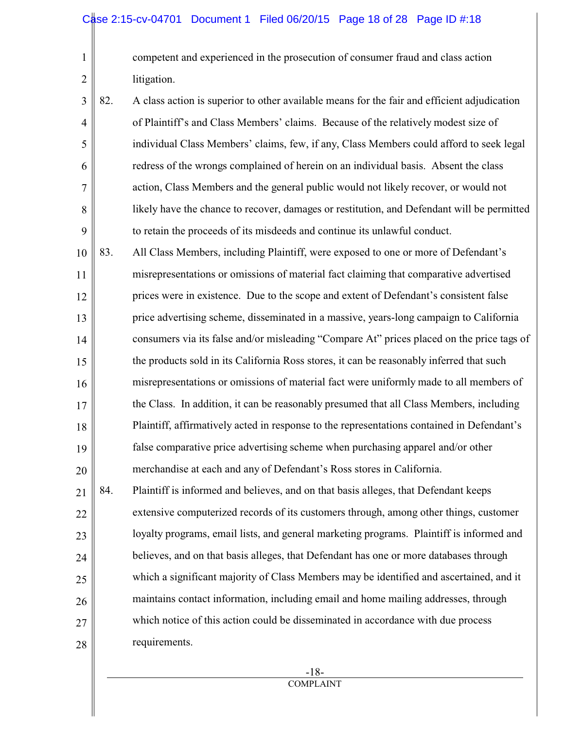1 2

competent and experienced in the prosecution of consumer fraud and class action litigation.

- 3 4 5 6 7 8 9 82. A class action is superior to other available means for the fair and efficient adjudication of Plaintiff's and Class Members' claims. Because of the relatively modest size of individual Class Members' claims, few, if any, Class Members could afford to seek legal redress of the wrongs complained of herein on an individual basis. Absent the class action, Class Members and the general public would not likely recover, or would not likely have the chance to recover, damages or restitution, and Defendant will be permitted to retain the proceeds of its misdeeds and continue its unlawful conduct.
- 10 11 12 13 14 15 16 17 18 19 20 83. All Class Members, including Plaintiff, were exposed to one or more of Defendant's misrepresentations or omissions of material fact claiming that comparative advertised prices were in existence. Due to the scope and extent of Defendant's consistent false price advertising scheme, disseminated in a massive, years-long campaign to California consumers via its false and/or misleading "Compare At" prices placed on the price tags of the products sold in its California Ross stores, it can be reasonably inferred that such misrepresentations or omissions of material fact were uniformly made to all members of the Class. In addition, it can be reasonably presumed that all Class Members, including Plaintiff, affirmatively acted in response to the representations contained in Defendant's false comparative price advertising scheme when purchasing apparel and/or other merchandise at each and any of Defendant's Ross stores in California.
- 21 22 23 24 25 26 27 28 84. Plaintiff is informed and believes, and on that basis alleges, that Defendant keeps extensive computerized records of its customers through, among other things, customer loyalty programs, email lists, and general marketing programs. Plaintiff is informed and believes, and on that basis alleges, that Defendant has one or more databases through which a significant majority of Class Members may be identified and ascertained, and it maintains contact information, including email and home mailing addresses, through which notice of this action could be disseminated in accordance with due process requirements.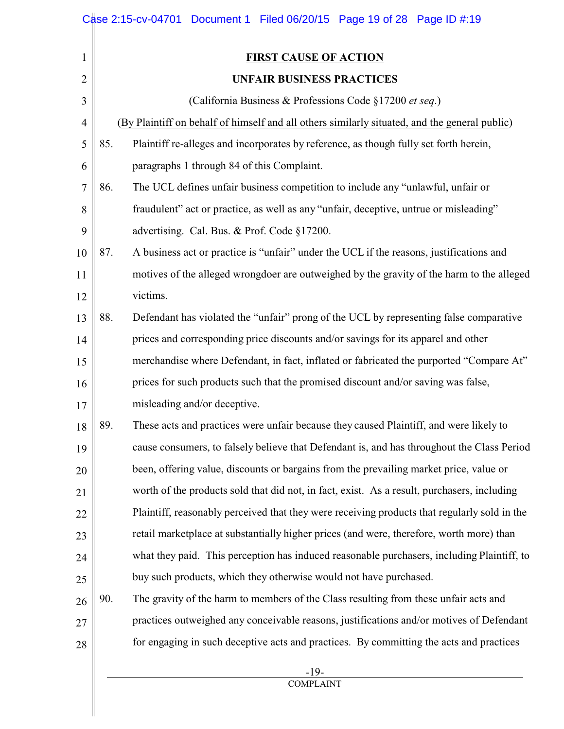|                | Case 2:15-cv-04701 Document 1 Filed 06/20/15 Page 19 of 28 Page ID #:19                        |
|----------------|------------------------------------------------------------------------------------------------|
| $\mathbf{1}$   | <b>FIRST CAUSE OF ACTION</b>                                                                   |
| $\overline{2}$ | <b>UNFAIR BUSINESS PRACTICES</b>                                                               |
| 3              | (California Business & Professions Code §17200 et seq.)                                        |
| $\overline{4}$ | (By Plaintiff on behalf of himself and all others similarly situated, and the general public)  |
| 5              | Plaintiff re-alleges and incorporates by reference, as though fully set forth herein,<br>85.   |
| 6              | paragraphs 1 through 84 of this Complaint.                                                     |
| 7              | 86.<br>The UCL defines unfair business competition to include any "unlawful, unfair or         |
| 8              | fraudulent" act or practice, as well as any "unfair, deceptive, untrue or misleading"          |
| 9              | advertising. Cal. Bus. & Prof. Code §17200.                                                    |
| 10             | A business act or practice is "unfair" under the UCL if the reasons, justifications and<br>87. |
| 11             | motives of the alleged wrongdoer are outweighed by the gravity of the harm to the alleged      |
| 12             | victims.                                                                                       |
| 13             | 88.<br>Defendant has violated the "unfair" prong of the UCL by representing false comparative  |
| 14             | prices and corresponding price discounts and/or savings for its apparel and other              |
| 15             | merchandise where Defendant, in fact, inflated or fabricated the purported "Compare At"        |
| 16             | prices for such products such that the promised discount and/or saving was false,              |
| 17             | misleading and/or deceptive.                                                                   |
| 18             | These acts and practices were unfair because they caused Plaintiff, and were likely to<br>89.  |
| 19             | cause consumers, to falsely believe that Defendant is, and has throughout the Class Period     |
| 20             | been, offering value, discounts or bargains from the prevailing market price, value or         |
| 21             | worth of the products sold that did not, in fact, exist. As a result, purchasers, including    |
| 22             | Plaintiff, reasonably perceived that they were receiving products that regularly sold in the   |
| 23             | retail marketplace at substantially higher prices (and were, therefore, worth more) than       |
| 24             | what they paid. This perception has induced reasonable purchasers, including Plaintiff, to     |
| 25             | buy such products, which they otherwise would not have purchased.                              |
| 26             | 90.<br>The gravity of the harm to members of the Class resulting from these unfair acts and    |
| 27             | practices outweighed any conceivable reasons, justifications and/or motives of Defendant       |
| 28             | for engaging in such deceptive acts and practices. By committing the acts and practices        |
|                | $-19-$                                                                                         |

COMPLAINT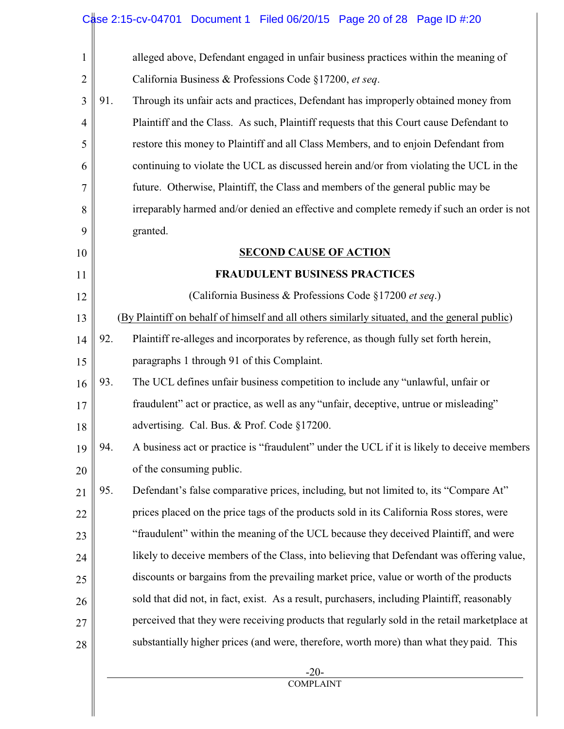## Case 2:15-cv-04701 Document 1 Filed 06/20/15 Page 20 of 28 Page ID #:20

| $\mathbf{1}$   | alleged above, Defendant engaged in unfair business practices within the meaning of                |
|----------------|----------------------------------------------------------------------------------------------------|
| $\overline{2}$ | California Business & Professions Code §17200, et seq.                                             |
| 3              | 91.<br>Through its unfair acts and practices, Defendant has improperly obtained money from         |
| $\overline{4}$ | Plaintiff and the Class. As such, Plaintiff requests that this Court cause Defendant to            |
| 5              | restore this money to Plaintiff and all Class Members, and to enjoin Defendant from                |
| 6              | continuing to violate the UCL as discussed herein and/or from violating the UCL in the             |
| 7              | future. Otherwise, Plaintiff, the Class and members of the general public may be                   |
| 8              | irreparably harmed and/or denied an effective and complete remedy if such an order is not          |
| 9              | granted.                                                                                           |
| 10             | <b>SECOND CAUSE OF ACTION</b>                                                                      |
| 11             | <b>FRAUDULENT BUSINESS PRACTICES</b>                                                               |
| 12             | (California Business & Professions Code §17200 et seq.)                                            |
| 13             | (By Plaintiff on behalf of himself and all others similarly situated, and the general public)      |
| 14             | 92.<br>Plaintiff re-alleges and incorporates by reference, as though fully set forth herein,       |
| 15             | paragraphs 1 through 91 of this Complaint.                                                         |
| 16             | 93.<br>The UCL defines unfair business competition to include any "unlawful, unfair or             |
| 17             | fraudulent" act or practice, as well as any "unfair, deceptive, untrue or misleading"              |
| 18             | advertising. Cal. Bus. & Prof. Code §17200.                                                        |
| 19             | A business act or practice is "fraudulent" under the UCL if it is likely to deceive members<br>94. |
| 20             | of the consuming public.                                                                           |
| 21             | 95.<br>Defendant's false comparative prices, including, but not limited to, its "Compare At"       |
| 22             | prices placed on the price tags of the products sold in its California Ross stores, were           |
| 23             | "fraudulent" within the meaning of the UCL because they deceived Plaintiff, and were               |
| 24             | likely to deceive members of the Class, into believing that Defendant was offering value,          |
| 25             | discounts or bargains from the prevailing market price, value or worth of the products             |
| 26             | sold that did not, in fact, exist. As a result, purchasers, including Plaintiff, reasonably        |
| 27             | perceived that they were receiving products that regularly sold in the retail marketplace at       |
| 28             | substantially higher prices (and were, therefore, worth more) than what they paid. This            |
|                |                                                                                                    |

 -20- COMPLAINT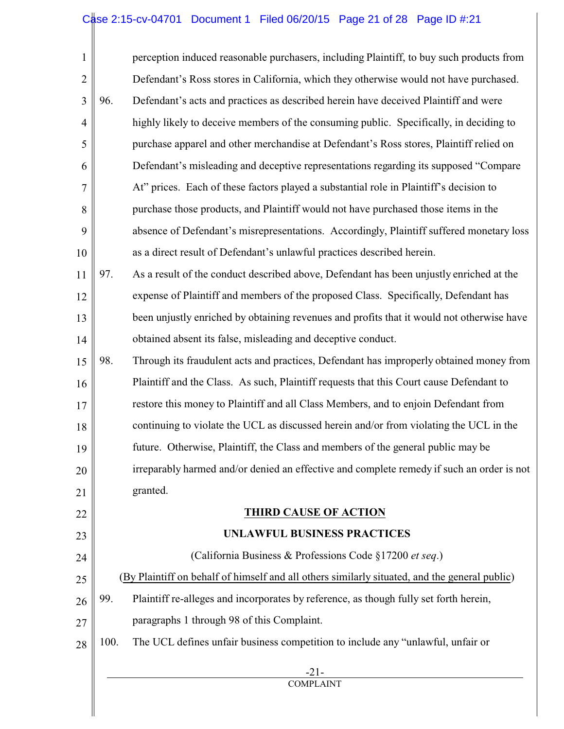## Case 2:15-cv-04701 Document 1 Filed 06/20/15 Page 21 of 28 Page ID #:21

| $\mathbf{1}$   |      | perception induced reasonable purchasers, including Plaintiff, to buy such products from      |
|----------------|------|-----------------------------------------------------------------------------------------------|
| $\overline{2}$ |      | Defendant's Ross stores in California, which they otherwise would not have purchased.         |
| 3              | 96.  | Defendant's acts and practices as described herein have deceived Plaintiff and were           |
| 4              |      | highly likely to deceive members of the consuming public. Specifically, in deciding to        |
| 5              |      | purchase apparel and other merchandise at Defendant's Ross stores, Plaintiff relied on        |
| 6              |      | Defendant's misleading and deceptive representations regarding its supposed "Compare"         |
| 7              |      | At" prices. Each of these factors played a substantial role in Plaintiff's decision to        |
| 8              |      | purchase those products, and Plaintiff would not have purchased those items in the            |
| 9              |      | absence of Defendant's misrepresentations. Accordingly, Plaintiff suffered monetary loss      |
| 10             |      | as a direct result of Defendant's unlawful practices described herein.                        |
| 11             | 97.  | As a result of the conduct described above, Defendant has been unjustly enriched at the       |
| 12             |      | expense of Plaintiff and members of the proposed Class. Specifically, Defendant has           |
| 13             |      | been unjustly enriched by obtaining revenues and profits that it would not otherwise have     |
| 14             |      | obtained absent its false, misleading and deceptive conduct.                                  |
| 15             | 98.  | Through its fraudulent acts and practices, Defendant has improperly obtained money from       |
| 16             |      | Plaintiff and the Class. As such, Plaintiff requests that this Court cause Defendant to       |
| 17             |      | restore this money to Plaintiff and all Class Members, and to enjoin Defendant from           |
| 18             |      | continuing to violate the UCL as discussed herein and/or from violating the UCL in the        |
| 19             |      | future. Otherwise, Plaintiff, the Class and members of the general public may be              |
| 20             |      | irreparably harmed and/or denied an effective and complete remedy if such an order is not     |
| 21             |      | granted.                                                                                      |
| 22             |      | <b>THIRD CAUSE OF ACTION</b>                                                                  |
| 23             |      | UNLAWFUL BUSINESS PRACTICES                                                                   |
| 24             |      | (California Business & Professions Code §17200 et seq.)                                       |
| 25             |      | (By Plaintiff on behalf of himself and all others similarly situated, and the general public) |
| 26             | 99.  | Plaintiff re-alleges and incorporates by reference, as though fully set forth herein,         |
| 27             |      | paragraphs 1 through 98 of this Complaint.                                                    |
| 28             | 100. | The UCL defines unfair business competition to include any "unlawful, unfair or               |
|                |      | $-21-$<br><b>COMPLAINT</b>                                                                    |
|                |      |                                                                                               |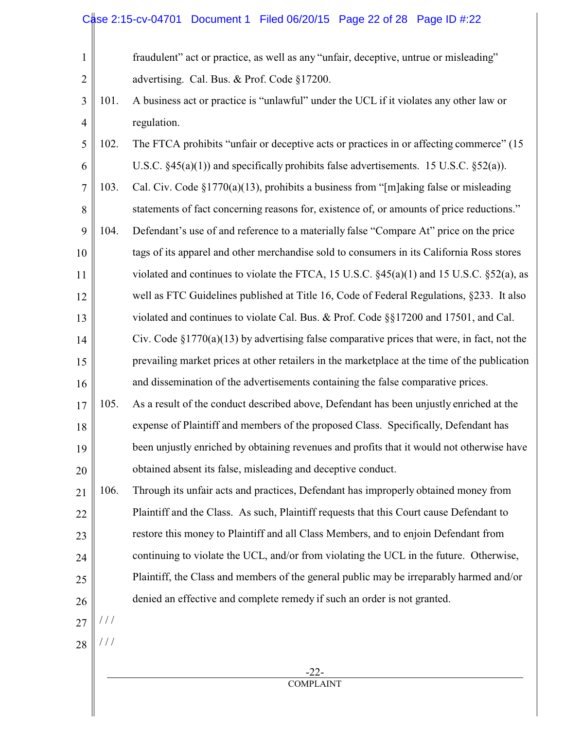## Case 2:15-cv-04701 Document 1 Filed 06/20/15 Page 22 of 28 Page ID #:22

| $\mathbf{1}$   |               | fraudulent" act or practice, as well as any "unfair, deceptive, untrue or misleading"            |
|----------------|---------------|--------------------------------------------------------------------------------------------------|
| $\overline{2}$ |               | advertising. Cal. Bus. & Prof. Code §17200.                                                      |
| 3              | 101.          | A business act or practice is "unlawful" under the UCL if it violates any other law or           |
| $\overline{4}$ |               | regulation.                                                                                      |
| 5              | 102.          | The FTCA prohibits "unfair or deceptive acts or practices in or affecting commerce" (15          |
| 6              |               | U.S.C. $\S 45(a)(1)$ and specifically prohibits false advertisements. 15 U.S.C. $\S 52(a)$ ).    |
| 7              | 103.          | Cal. Civ. Code $\S 1770(a)(13)$ , prohibits a business from "[m]aking false or misleading        |
| 8              |               | statements of fact concerning reasons for, existence of, or amounts of price reductions."        |
| 9              | 104.          | Defendant's use of and reference to a materially false "Compare At" price on the price           |
| 10             |               | tags of its apparel and other merchandise sold to consumers in its California Ross stores        |
| 11             |               | violated and continues to violate the FTCA, 15 U.S.C. $\S$ 45(a)(1) and 15 U.S.C. $\S$ 52(a), as |
| 12             |               | well as FTC Guidelines published at Title 16, Code of Federal Regulations, §233. It also         |
| 13             |               | violated and continues to violate Cal. Bus. & Prof. Code §§17200 and 17501, and Cal.             |
| 14             |               | Civ. Code $\S1770(a)(13)$ by advertising false comparative prices that were, in fact, not the    |
| 15             |               | prevailing market prices at other retailers in the marketplace at the time of the publication    |
| 16             |               | and dissemination of the advertisements containing the false comparative prices.                 |
| 17             | 105.          | As a result of the conduct described above, Defendant has been unjustly enriched at the          |
| 18             |               | expense of Plaintiff and members of the proposed Class. Specifically, Defendant has              |
| 19             |               | been unjustly enriched by obtaining revenues and profits that it would not otherwise have        |
| 20             |               | obtained absent its false, misleading and deceptive conduct.                                     |
| 21             | 106.          | Through its unfair acts and practices, Defendant has improperly obtained money from              |
| 22             |               | Plaintiff and the Class. As such, Plaintiff requests that this Court cause Defendant to          |
| 23             |               | restore this money to Plaintiff and all Class Members, and to enjoin Defendant from              |
| 24             |               | continuing to violate the UCL, and/or from violating the UCL in the future. Otherwise,           |
| 25             |               | Plaintiff, the Class and members of the general public may be irreparably harmed and/or          |
| 26             |               | denied an effective and complete remedy if such an order is not granted.                         |
| 27             | $\frac{1}{2}$ |                                                                                                  |
| 28             |               |                                                                                                  |
|                |               | $-22-$                                                                                           |

**COMPLAINT**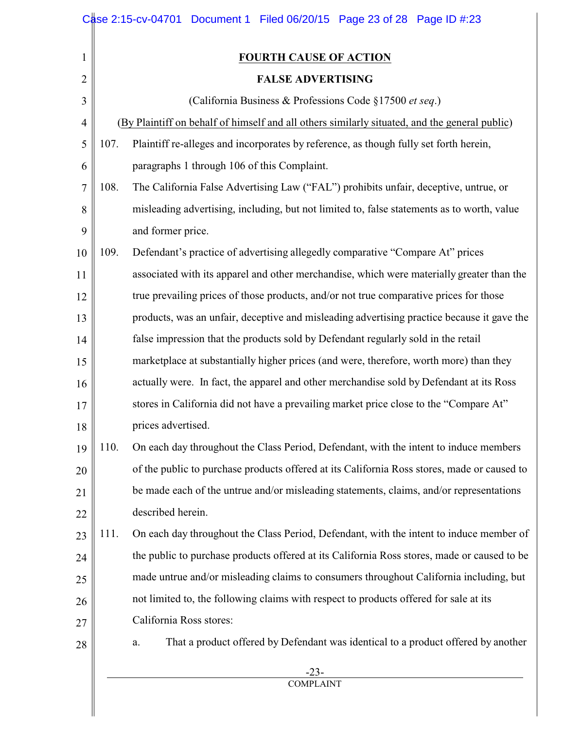|                |      | Case 2:15-cv-04701 Document 1 Filed 06/20/15 Page 23 of 28 Page ID #:23                       |
|----------------|------|-----------------------------------------------------------------------------------------------|
| 1              |      | <b>FOURTH CAUSE OF ACTION</b>                                                                 |
| $\overline{c}$ |      | <b>FALSE ADVERTISING</b>                                                                      |
| 3              |      | (California Business & Professions Code §17500 et seq.)                                       |
| $\overline{4}$ |      | (By Plaintiff on behalf of himself and all others similarly situated, and the general public) |
| 5              | 107. | Plaintiff re-alleges and incorporates by reference, as though fully set forth herein,         |
| 6              |      | paragraphs 1 through 106 of this Complaint.                                                   |
| 7              | 108. | The California False Advertising Law ("FAL") prohibits unfair, deceptive, untrue, or          |
| 8              |      | misleading advertising, including, but not limited to, false statements as to worth, value    |
| 9              |      | and former price.                                                                             |
| 10             | 109. | Defendant's practice of advertising allegedly comparative "Compare At" prices                 |
| 11             |      | associated with its apparel and other merchandise, which were materially greater than the     |
| 12             |      | true prevailing prices of those products, and/or not true comparative prices for those        |
| 13             |      | products, was an unfair, deceptive and misleading advertising practice because it gave the    |
| 14             |      | false impression that the products sold by Defendant regularly sold in the retail             |
| 15             |      | marketplace at substantially higher prices (and were, therefore, worth more) than they        |
| 16             |      | actually were. In fact, the apparel and other merchandise sold by Defendant at its Ross       |
| 17             |      | stores in California did not have a prevailing market price close to the "Compare At"         |
| 18             |      | prices advertised.                                                                            |
| 19             | 110. | On each day throughout the Class Period, Defendant, with the intent to induce members         |
| 20             |      | of the public to purchase products offered at its California Ross stores, made or caused to   |
| 21             |      | be made each of the untrue and/or misleading statements, claims, and/or representations       |
| 22             |      | described herein.                                                                             |
| 23             | 111. | On each day throughout the Class Period, Defendant, with the intent to induce member of       |
| 24             |      | the public to purchase products offered at its California Ross stores, made or caused to be   |
| 25             |      | made untrue and/or misleading claims to consumers throughout California including, but        |
| 26             |      | not limited to, the following claims with respect to products offered for sale at its         |
| 27             |      | California Ross stores:                                                                       |
| 28             |      | That a product offered by Defendant was identical to a product offered by another<br>a.       |
|                |      | $-23-$                                                                                        |

**COMPLAINT**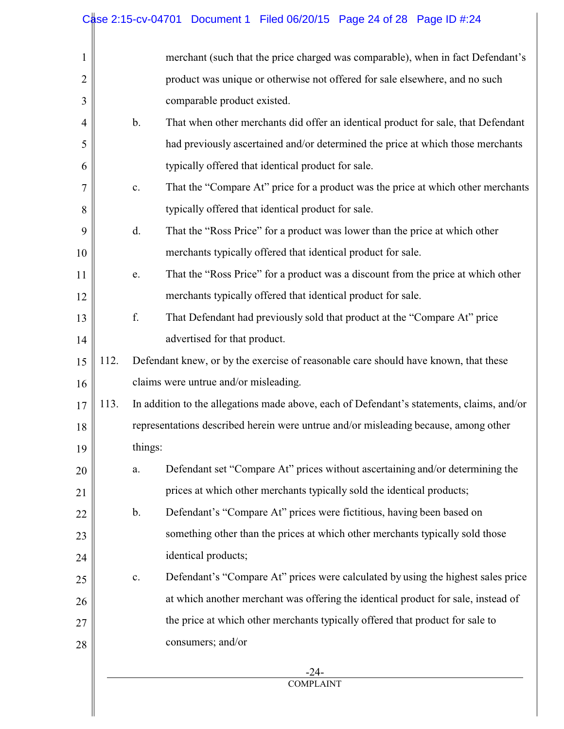# Case 2:15-cv-04701 Document 1 Filed 06/20/15 Page 24 of 28 Page ID #:24

| 1              |      |                                                                                     | merchant (such that the price charged was comparable), when in fact Defendant's           |  |
|----------------|------|-------------------------------------------------------------------------------------|-------------------------------------------------------------------------------------------|--|
| $\overline{2}$ |      |                                                                                     | product was unique or otherwise not offered for sale elsewhere, and no such               |  |
| 3              |      |                                                                                     | comparable product existed.                                                               |  |
| $\overline{4}$ |      | b.                                                                                  | That when other merchants did offer an identical product for sale, that Defendant         |  |
| 5              |      |                                                                                     | had previously ascertained and/or determined the price at which those merchants           |  |
| 6              |      |                                                                                     | typically offered that identical product for sale.                                        |  |
| 7              |      | $\mathbf{C}$ .                                                                      | That the "Compare At" price for a product was the price at which other merchants          |  |
| 8              |      |                                                                                     | typically offered that identical product for sale.                                        |  |
| 9              |      | d.                                                                                  | That the "Ross Price" for a product was lower than the price at which other               |  |
| 10             |      |                                                                                     | merchants typically offered that identical product for sale.                              |  |
| 11             |      | e.                                                                                  | That the "Ross Price" for a product was a discount from the price at which other          |  |
| 12             |      |                                                                                     | merchants typically offered that identical product for sale.                              |  |
| 13             |      | f.                                                                                  | That Defendant had previously sold that product at the "Compare At" price                 |  |
| 14             |      |                                                                                     | advertised for that product.                                                              |  |
| 15             | 112. | Defendant knew, or by the exercise of reasonable care should have known, that these |                                                                                           |  |
| 16             |      | claims were untrue and/or misleading.                                               |                                                                                           |  |
| 17             | 113. |                                                                                     | In addition to the allegations made above, each of Defendant's statements, claims, and/or |  |
| 18             |      |                                                                                     | representations described herein were untrue and/or misleading because, among other       |  |
| 19             |      | things:                                                                             |                                                                                           |  |
| 20             |      | ${\bf a}.$                                                                          | Defendant set "Compare At" prices without ascertaining and/or determining the             |  |
| 21             |      |                                                                                     | prices at which other merchants typically sold the identical products;                    |  |
| 22             |      | b.                                                                                  | Defendant's "Compare At" prices were fictitious, having been based on                     |  |
| 23             |      |                                                                                     | something other than the prices at which other merchants typically sold those             |  |
| 24             |      |                                                                                     | identical products;                                                                       |  |
| 25             |      | c.                                                                                  | Defendant's "Compare At" prices were calculated by using the highest sales price          |  |
| 26             |      |                                                                                     | at which another merchant was offering the identical product for sale, instead of         |  |
| 27             |      |                                                                                     | the price at which other merchants typically offered that product for sale to             |  |
| 28             |      |                                                                                     | consumers; and/or                                                                         |  |
|                |      |                                                                                     | -24-                                                                                      |  |
|                |      |                                                                                     | <b>COMPLAINT</b>                                                                          |  |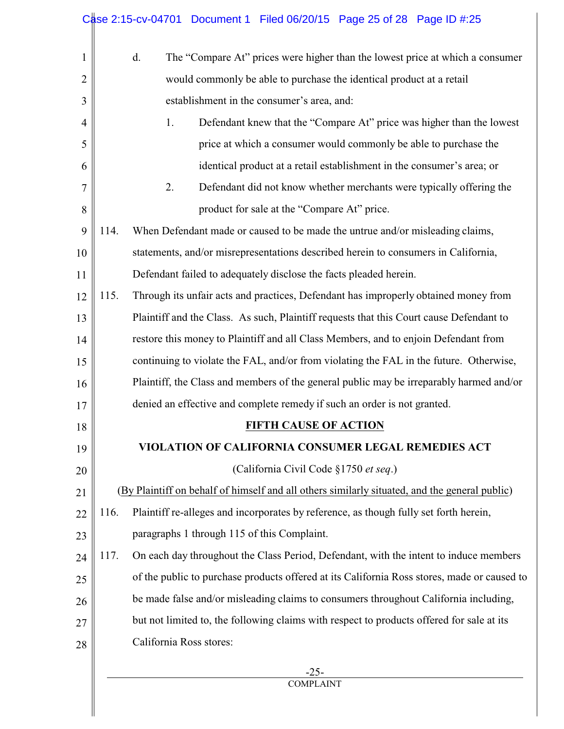|      | The "Compare At" prices were higher than the lowest price at which a consumer<br>d.           |
|------|-----------------------------------------------------------------------------------------------|
|      | would commonly be able to purchase the identical product at a retail                          |
|      | establishment in the consumer's area, and:                                                    |
|      | 1.<br>Defendant knew that the "Compare At" price was higher than the lowest                   |
|      | price at which a consumer would commonly be able to purchase the                              |
|      | identical product at a retail establishment in the consumer's area; or                        |
|      | 2.<br>Defendant did not know whether merchants were typically offering the                    |
|      | product for sale at the "Compare At" price.                                                   |
| 114. | When Defendant made or caused to be made the untrue and/or misleading claims,                 |
|      | statements, and/or misrepresentations described herein to consumers in California,            |
|      | Defendant failed to adequately disclose the facts pleaded herein.                             |
| 115. | Through its unfair acts and practices, Defendant has improperly obtained money from           |
|      | Plaintiff and the Class. As such, Plaintiff requests that this Court cause Defendant to       |
|      | restore this money to Plaintiff and all Class Members, and to enjoin Defendant from           |
|      | continuing to violate the FAL, and/or from violating the FAL in the future. Otherwise,        |
|      | Plaintiff, the Class and members of the general public may be irreparably harmed and/or       |
|      | denied an effective and complete remedy if such an order is not granted.                      |
|      | <b>FIFTH CAUSE OF ACTION</b>                                                                  |
|      | VIOLATION OF CALIFORNIA CONSUMER LEGAL REMEDIES ACT                                           |
|      | (California Civil Code §1750 et seq.)                                                         |
|      | (By Plaintiff on behalf of himself and all others similarly situated, and the general public) |
| 116. | Plaintiff re-alleges and incorporates by reference, as though fully set forth herein,         |
|      | paragraphs 1 through 115 of this Complaint.                                                   |
| 117. | On each day throughout the Class Period, Defendant, with the intent to induce members         |
|      | of the public to purchase products offered at its California Ross stores, made or caused to   |
|      | be made false and/or misleading claims to consumers throughout California including,          |
|      | but not limited to, the following claims with respect to products offered for sale at its     |
|      | California Ross stores:                                                                       |
|      | $-25-$                                                                                        |
|      |                                                                                               |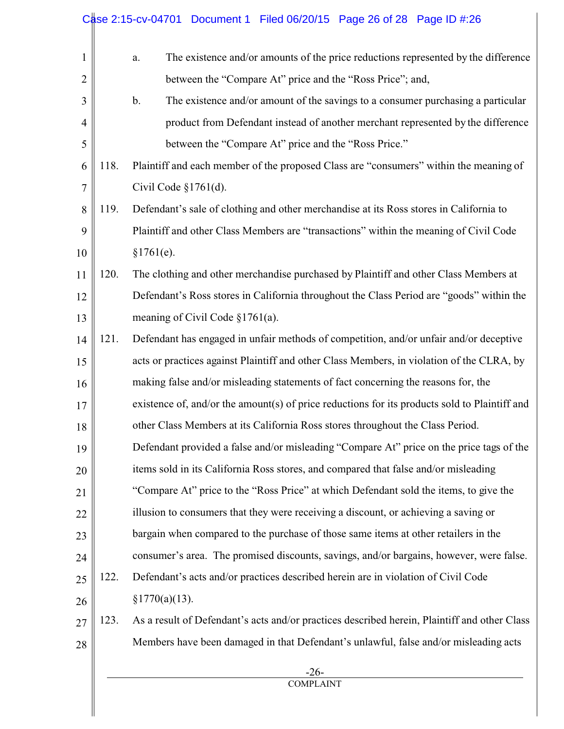|      | between the "Compare At" price and the "Ross Price"; and,<br>$b$ .<br>The existence and/or amount of the savings to a consumer purchasing a particular |
|------|--------------------------------------------------------------------------------------------------------------------------------------------------------|
|      |                                                                                                                                                        |
|      |                                                                                                                                                        |
|      | product from Defendant instead of another merchant represented by the difference                                                                       |
|      | between the "Compare At" price and the "Ross Price."                                                                                                   |
| 118. | Plaintiff and each member of the proposed Class are "consumers" within the meaning of                                                                  |
|      | Civil Code $$1761(d)$ .                                                                                                                                |
| 119. | Defendant's sale of clothing and other merchandise at its Ross stores in California to                                                                 |
|      | Plaintiff and other Class Members are "transactions" within the meaning of Civil Code                                                                  |
|      | §1761(e).                                                                                                                                              |
| 120. | The clothing and other merchandise purchased by Plaintiff and other Class Members at                                                                   |
|      | Defendant's Ross stores in California throughout the Class Period are "goods" within the                                                               |
|      | meaning of Civil Code $\S 1761(a)$ .                                                                                                                   |
| 121. | Defendant has engaged in unfair methods of competition, and/or unfair and/or deceptive                                                                 |
|      | acts or practices against Plaintiff and other Class Members, in violation of the CLRA, by                                                              |
|      | making false and/or misleading statements of fact concerning the reasons for, the                                                                      |
|      | existence of, and/or the amount(s) of price reductions for its products sold to Plaintiff and                                                          |
|      | other Class Members at its California Ross stores throughout the Class Period.                                                                         |
|      | Defendant provided a false and/or misleading "Compare At" price on the price tags of the                                                               |
|      | items sold in its California Ross stores, and compared that false and/or misleading                                                                    |
|      | "Compare At" price to the "Ross Price" at which Defendant sold the items, to give the                                                                  |
|      | illusion to consumers that they were receiving a discount, or achieving a saving or                                                                    |
|      | bargain when compared to the purchase of those same items at other retailers in the                                                                    |
|      | consumer's area. The promised discounts, savings, and/or bargains, however, were false.                                                                |
| 122. | Defendant's acts and/or practices described herein are in violation of Civil Code                                                                      |
|      | §1770(a)(13).                                                                                                                                          |
| 123. | As a result of Defendant's acts and/or practices described herein, Plaintiff and other Class                                                           |
|      | Members have been damaged in that Defendant's unlawful, false and/or misleading acts                                                                   |
|      | $-26-$<br><b>COMPLAINT</b>                                                                                                                             |
|      |                                                                                                                                                        |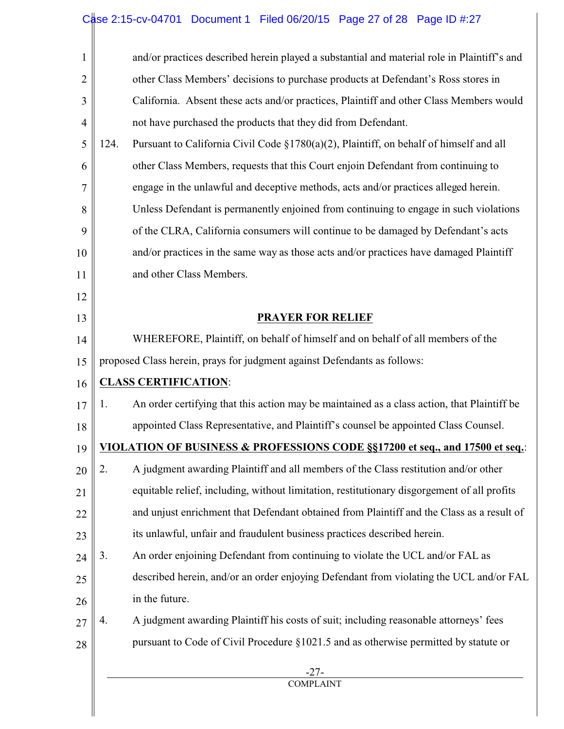# Case 2:15-cv-04701 Document 1 Filed 06/20/15 Page 27 of 28 Page ID #:27

| $\mathbf{1}$   | and/or practices described herein played a substantial and material role in Plaintiff's and       |
|----------------|---------------------------------------------------------------------------------------------------|
| $\overline{2}$ | other Class Members' decisions to purchase products at Defendant's Ross stores in                 |
| 3              | California. Absent these acts and/or practices, Plaintiff and other Class Members would           |
| $\overline{4}$ | not have purchased the products that they did from Defendant.                                     |
| 5              | Pursuant to California Civil Code §1780(a)(2), Plaintiff, on behalf of himself and all<br>124.    |
| 6              | other Class Members, requests that this Court enjoin Defendant from continuing to                 |
| 7              | engage in the unlawful and deceptive methods, acts and/or practices alleged herein.               |
| 8              | Unless Defendant is permanently enjoined from continuing to engage in such violations             |
| 9              | of the CLRA, California consumers will continue to be damaged by Defendant's acts                 |
| 10             | and/or practices in the same way as those acts and/or practices have damaged Plaintiff            |
| 11             | and other Class Members.                                                                          |
| 12             |                                                                                                   |
| 13             | <b>PRAYER FOR RELIEF</b>                                                                          |
| 14             | WHEREFORE, Plaintiff, on behalf of himself and on behalf of all members of the                    |
| 15             | proposed Class herein, prays for judgment against Defendants as follows:                          |
| 16             | <b>CLASS CERTIFICATION:</b>                                                                       |
| 17             | An order certifying that this action may be maintained as a class action, that Plaintiff be<br>1. |
| 18             | appointed Class Representative, and Plaintiff's counsel be appointed Class Counsel.               |
| 19             | <b>VIOLATION OF BUSINESS &amp; PROFESSIONS CODE §§17200 et seq., and 17500 et seq.:</b>           |
| 20             | 2.<br>A judgment awarding Plaintiff and all members of the Class restitution and/or other         |
| 21             | equitable relief, including, without limitation, restitutionary disgorgement of all profits       |
| 22             | and unjust enrichment that Defendant obtained from Plaintiff and the Class as a result of         |
| 23             | its unlawful, unfair and fraudulent business practices described herein.                          |
| 24             | 3.<br>An order enjoining Defendant from continuing to violate the UCL and/or FAL as               |
| 25             | described herein, and/or an order enjoying Defendant from violating the UCL and/or FAL            |
| 26             | in the future.                                                                                    |
| 27             | A judgment awarding Plaintiff his costs of suit; including reasonable attorneys' fees<br>4.       |
| 28             | pursuant to Code of Civil Procedure §1021.5 and as otherwise permitted by statute or              |
|                | $-27-$                                                                                            |
|                | <b>COMPLAINT</b>                                                                                  |